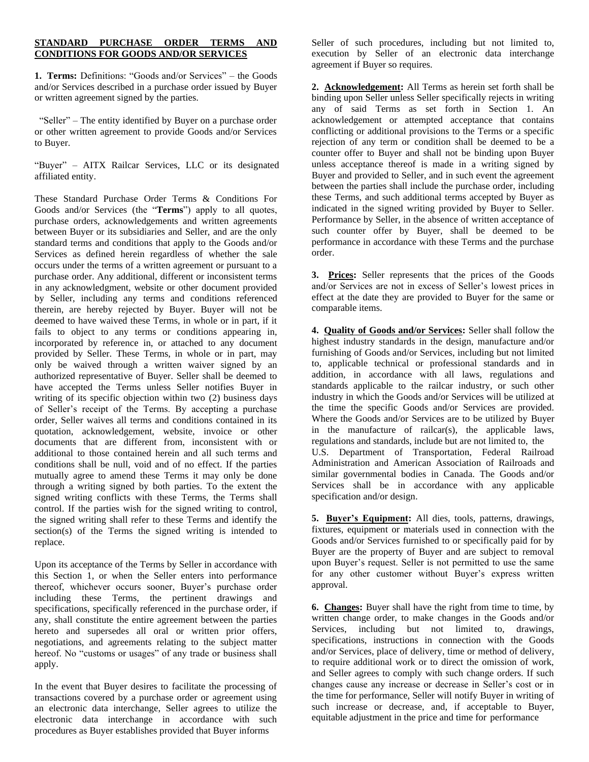## **STANDARD PURCHASE ORDER TERMS AND CONDITIONS FOR GOODS AND/OR SERVICES**

**1. Terms:** Definitions: "Goods and/or Services" – the Goods and/or Services described in a purchase order issued by Buyer or written agreement signed by the parties.

"Seller" – The entity identified by Buyer on a purchase order or other written agreement to provide Goods and/or Services to Buyer.

"Buyer" – AITX Railcar Services, LLC or its designated affiliated entity.

These Standard Purchase Order Terms & Conditions For Goods and/or Services (the "**Terms**") apply to all quotes, purchase orders, acknowledgements and written agreements between Buyer or its subsidiaries and Seller, and are the only standard terms and conditions that apply to the Goods and/or Services as defined herein regardless of whether the sale occurs under the terms of a written agreement or pursuant to a purchase order. Any additional, different or inconsistent terms in any acknowledgment, website or other document provided by Seller, including any terms and conditions referenced therein, are hereby rejected by Buyer. Buyer will not be deemed to have waived these Terms, in whole or in part, if it fails to object to any terms or conditions appearing in, incorporated by reference in, or attached to any document provided by Seller. These Terms, in whole or in part, may only be waived through a written waiver signed by an authorized representative of Buyer. Seller shall be deemed to have accepted the Terms unless Seller notifies Buyer in writing of its specific objection within two (2) business days of Seller's receipt of the Terms. By accepting a purchase order, Seller waives all terms and conditions contained in its quotation, acknowledgement, website, invoice or other documents that are different from, inconsistent with or additional to those contained herein and all such terms and conditions shall be null, void and of no effect. If the parties mutually agree to amend these Terms it may only be done through a writing signed by both parties. To the extent the signed writing conflicts with these Terms, the Terms shall control. If the parties wish for the signed writing to control, the signed writing shall refer to these Terms and identify the section(s) of the Terms the signed writing is intended to replace.

Upon its acceptance of the Terms by Seller in accordance with this Section 1, or when the Seller enters into performance thereof, whichever occurs sooner, Buyer's purchase order including these Terms, the pertinent drawings and specifications, specifically referenced in the purchase order, if any, shall constitute the entire agreement between the parties hereto and supersedes all oral or written prior offers, negotiations, and agreements relating to the subject matter hereof. No "customs or usages" of any trade or business shall apply.

In the event that Buyer desires to facilitate the processing of transactions covered by a purchase order or agreement using an electronic data interchange, Seller agrees to utilize the electronic data interchange in accordance with such procedures as Buyer establishes provided that Buyer informs

Seller of such procedures, including but not limited to, execution by Seller of an electronic data interchange agreement if Buyer so requires.

**2. Acknowledgement:** All Terms as herein set forth shall be binding upon Seller unless Seller specifically rejects in writing any of said Terms as set forth in Section 1. An acknowledgement or attempted acceptance that contains conflicting or additional provisions to the Terms or a specific rejection of any term or condition shall be deemed to be a counter offer to Buyer and shall not be binding upon Buyer unless acceptance thereof is made in a writing signed by Buyer and provided to Seller, and in such event the agreement between the parties shall include the purchase order, including these Terms, and such additional terms accepted by Buyer as indicated in the signed writing provided by Buyer to Seller. Performance by Seller, in the absence of written acceptance of such counter offer by Buyer, shall be deemed to be performance in accordance with these Terms and the purchase order.

**3. Prices:** Seller represents that the prices of the Goods and/or Services are not in excess of Seller's lowest prices in effect at the date they are provided to Buyer for the same or comparable items.

**4. Quality of Goods and/or Services:** Seller shall follow the highest industry standards in the design, manufacture and/or furnishing of Goods and/or Services, including but not limited to, applicable technical or professional standards and in addition, in accordance with all laws, regulations and standards applicable to the railcar industry, or such other industry in which the Goods and/or Services will be utilized at the time the specific Goods and/or Services are provided. Where the Goods and/or Services are to be utilized by Buyer in the manufacture of railcar(s), the applicable laws, regulations and standards, include but are not limited to, the U.S. Department of Transportation, Federal Railroad Administration and American Association of Railroads and similar governmental bodies in Canada. The Goods and/or Services shall be in accordance with any applicable specification and/or design.

**5. Buyer's Equipment:** All dies, tools, patterns, drawings, fixtures, equipment or materials used in connection with the Goods and/or Services furnished to or specifically paid for by Buyer are the property of Buyer and are subject to removal upon Buyer's request. Seller is not permitted to use the same for any other customer without Buyer's express written approval.

**6. Changes:** Buyer shall have the right from time to time, by written change order, to make changes in the Goods and/or Services, including but not limited to, drawings, specifications, instructions in connection with the Goods and/or Services, place of delivery, time or method of delivery, to require additional work or to direct the omission of work, and Seller agrees to comply with such change orders. If such changes cause any increase or decrease in Seller's cost or in the time for performance, Seller will notify Buyer in writing of such increase or decrease, and, if acceptable to Buyer, equitable adjustment in the price and time for performance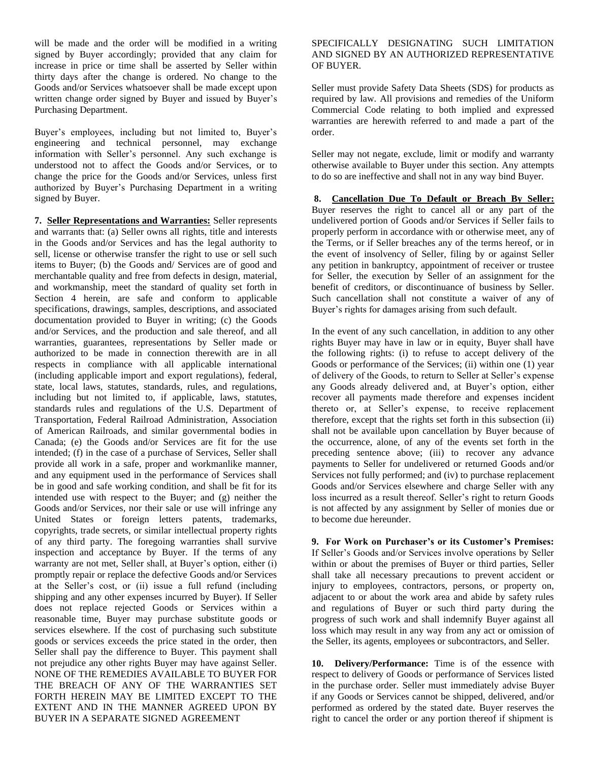will be made and the order will be modified in a writing signed by Buyer accordingly; provided that any claim for increase in price or time shall be asserted by Seller within thirty days after the change is ordered. No change to the Goods and/or Services whatsoever shall be made except upon written change order signed by Buyer and issued by Buyer's Purchasing Department.

Buyer's employees, including but not limited to, Buyer's engineering and technical personnel, may exchange information with Seller's personnel. Any such exchange is understood not to affect the Goods and/or Services, or to change the price for the Goods and/or Services, unless first authorized by Buyer's Purchasing Department in a writing signed by Buyer.

**7. Seller Representations and Warranties:** Seller represents and warrants that: (a) Seller owns all rights, title and interests in the Goods and/or Services and has the legal authority to sell, license or otherwise transfer the right to use or sell such items to Buyer; (b) the Goods and/ Services are of good and merchantable quality and free from defects in design, material, and workmanship, meet the standard of quality set forth in Section 4 herein, are safe and conform to applicable specifications, drawings, samples, descriptions, and associated documentation provided to Buyer in writing; (c) the Goods and/or Services, and the production and sale thereof, and all warranties, guarantees, representations by Seller made or authorized to be made in connection therewith are in all respects in compliance with all applicable international (including applicable import and export regulations), federal, state, local laws, statutes, standards, rules, and regulations, including but not limited to, if applicable, laws, statutes, standards rules and regulations of the U.S. Department of Transportation, Federal Railroad Administration, Association of American Railroads, and similar governmental bodies in Canada; (e) the Goods and/or Services are fit for the use intended; (f) in the case of a purchase of Services, Seller shall provide all work in a safe, proper and workmanlike manner, and any equipment used in the performance of Services shall be in good and safe working condition, and shall be fit for its intended use with respect to the Buyer; and (g) neither the Goods and/or Services, nor their sale or use will infringe any United States or foreign letters patents, trademarks, copyrights, trade secrets, or similar intellectual property rights of any third party. The foregoing warranties shall survive inspection and acceptance by Buyer. If the terms of any warranty are not met, Seller shall, at Buyer's option, either (i) promptly repair or replace the defective Goods and/or Services at the Seller's cost, or (ii) issue a full refund (including shipping and any other expenses incurred by Buyer). If Seller does not replace rejected Goods or Services within a reasonable time, Buyer may purchase substitute goods or services elsewhere. If the cost of purchasing such substitute goods or services exceeds the price stated in the order, then Seller shall pay the difference to Buyer. This payment shall not prejudice any other rights Buyer may have against Seller. NONE OF THE REMEDIES AVAILABLE TO BUYER FOR THE BREACH OF ANY OF THE WARRANTIES SET FORTH HEREIN MAY BE LIMITED EXCEPT TO THE EXTENT AND IN THE MANNER AGREED UPON BY BUYER IN A SEPARATE SIGNED AGREEMENT

## SPECIFICALLY DESIGNATING SUCH LIMITATION AND SIGNED BY AN AUTHORIZED REPRESENTATIVE OF BUYER.

Seller must provide Safety Data Sheets (SDS) for products as required by law. All provisions and remedies of the Uniform Commercial Code relating to both implied and expressed warranties are herewith referred to and made a part of the order.

Seller may not negate, exclude, limit or modify and warranty otherwise available to Buyer under this section. Any attempts to do so are ineffective and shall not in any way bind Buyer.

**8. Cancellation Due To Default or Breach By Seller:** Buyer reserves the right to cancel all or any part of the undelivered portion of Goods and/or Services if Seller fails to properly perform in accordance with or otherwise meet, any of the Terms, or if Seller breaches any of the terms hereof, or in the event of insolvency of Seller, filing by or against Seller any petition in bankruptcy, appointment of receiver or trustee for Seller, the execution by Seller of an assignment for the benefit of creditors, or discontinuance of business by Seller. Such cancellation shall not constitute a waiver of any of Buyer's rights for damages arising from such default.

In the event of any such cancellation, in addition to any other rights Buyer may have in law or in equity, Buyer shall have the following rights: (i) to refuse to accept delivery of the Goods or performance of the Services; (ii) within one (1) year of delivery of the Goods, to return to Seller at Seller's expense any Goods already delivered and, at Buyer's option, either recover all payments made therefore and expenses incident thereto or, at Seller's expense, to receive replacement therefore, except that the rights set forth in this subsection (ii) shall not be available upon cancellation by Buyer because of the occurrence, alone, of any of the events set forth in the preceding sentence above; (iii) to recover any advance payments to Seller for undelivered or returned Goods and/or Services not fully performed; and (iv) to purchase replacement Goods and/or Services elsewhere and charge Seller with any loss incurred as a result thereof. Seller's right to return Goods is not affected by any assignment by Seller of monies due or to become due hereunder.

**9. For Work on Purchaser's or its Customer's Premises:**  If Seller's Goods and/or Services involve operations by Seller within or about the premises of Buyer or third parties, Seller shall take all necessary precautions to prevent accident or injury to employees, contractors, persons, or property on, adjacent to or about the work area and abide by safety rules and regulations of Buyer or such third party during the progress of such work and shall indemnify Buyer against all loss which may result in any way from any act or omission of the Seller, its agents, employees or subcontractors, and Seller.

**10. Delivery/Performance:** Time is of the essence with respect to delivery of Goods or performance of Services listed in the purchase order. Seller must immediately advise Buyer if any Goods or Services cannot be shipped, delivered, and/or performed as ordered by the stated date. Buyer reserves the right to cancel the order or any portion thereof if shipment is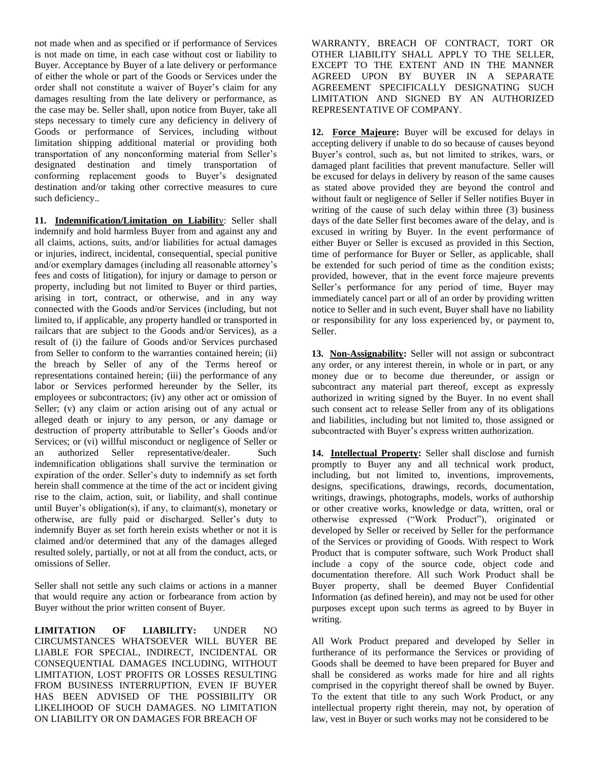not made when and as specified or if performance of Services is not made on time, in each case without cost or liability to Buyer. Acceptance by Buyer of a late delivery or performance of either the whole or part of the Goods or Services under the order shall not constitute a waiver of Buyer's claim for any damages resulting from the late delivery or performance, as the case may be. Seller shall, upon notice from Buyer, take all steps necessary to timely cure any deficiency in delivery of Goods or performance of Services, including without limitation shipping additional material or providing both transportation of any nonconforming material from Seller's designated destination and timely transportation of conforming replacement goods to Buyer's designated destination and/or taking other corrective measures to cure such deficiency..

**11. Indemnification/Limitation on Liabilit**y: Seller shall indemnify and hold harmless Buyer from and against any and all claims, actions, suits, and/or liabilities for actual damages or injuries, indirect, incidental, consequential, special punitive and/or exemplary damages (including all reasonable attorney's fees and costs of litigation), for injury or damage to person or property, including but not limited to Buyer or third parties, arising in tort, contract, or otherwise, and in any way connected with the Goods and/or Services (including, but not limited to, if applicable, any property handled or transported in railcars that are subject to the Goods and/or Services), as a result of (i) the failure of Goods and/or Services purchased from Seller to conform to the warranties contained herein; (ii) the breach by Seller of any of the Terms hereof or representations contained herein; (iii) the performance of any labor or Services performed hereunder by the Seller, its employees or subcontractors; (iv) any other act or omission of Seller; (v) any claim or action arising out of any actual or alleged death or injury to any person, or any damage or destruction of property attributable to Seller's Goods and/or Services; or (vi) willful misconduct or negligence of Seller or an authorized Seller representative/dealer. Such indemnification obligations shall survive the termination or expiration of the order. Seller's duty to indemnify as set forth herein shall commence at the time of the act or incident giving rise to the claim, action, suit, or liability, and shall continue until Buyer's obligation(s), if any, to claimant(s), monetary or otherwise, are fully paid or discharged. Seller's duty to indemnify Buyer as set forth herein exists whether or not it is claimed and/or determined that any of the damages alleged resulted solely, partially, or not at all from the conduct, acts, or omissions of Seller.

Seller shall not settle any such claims or actions in a manner that would require any action or forbearance from action by Buyer without the prior written consent of Buyer.

**LIMITATION OF LIABILITY:** UNDER NO CIRCUMSTANCES WHATSOEVER WILL BUYER BE LIABLE FOR SPECIAL, INDIRECT, INCIDENTAL OR CONSEQUENTIAL DAMAGES INCLUDING, WITHOUT LIMITATION, LOST PROFITS OR LOSSES RESULTING FROM BUSINESS INTERRUPTION, EVEN IF BUYER HAS BEEN ADVISED OF THE POSSIBILITY OR LIKELIHOOD OF SUCH DAMAGES. NO LIMITATION ON LIABILITY OR ON DAMAGES FOR BREACH OF

WARRANTY, BREACH OF CONTRACT, TORT OR OTHER LIABILITY SHALL APPLY TO THE SELLER, EXCEPT TO THE EXTENT AND IN THE MANNER AGREED UPON BY BUYER IN A SEPARATE AGREEMENT SPECIFICALLY DESIGNATING SUCH LIMITATION AND SIGNED BY AN AUTHORIZED REPRESENTATIVE OF COMPANY.

**12. Force Majeure:** Buyer will be excused for delays in accepting delivery if unable to do so because of causes beyond Buyer's control, such as, but not limited to strikes, wars, or damaged plant facilities that prevent manufacture. Seller will be excused for delays in delivery by reason of the same causes as stated above provided they are beyond the control and without fault or negligence of Seller if Seller notifies Buyer in writing of the cause of such delay within three (3) business days of the date Seller first becomes aware of the delay, and is excused in writing by Buyer. In the event performance of either Buyer or Seller is excused as provided in this Section, time of performance for Buyer or Seller, as applicable, shall be extended for such period of time as the condition exists; provided, however, that in the event force majeure prevents Seller's performance for any period of time, Buyer may immediately cancel part or all of an order by providing written notice to Seller and in such event, Buyer shall have no liability or responsibility for any loss experienced by, or payment to, Seller.

**13. Non-Assignability:** Seller will not assign or subcontract any order, or any interest therein, in whole or in part, or any money due or to become due thereunder, or assign or subcontract any material part thereof, except as expressly authorized in writing signed by the Buyer. In no event shall such consent act to release Seller from any of its obligations and liabilities, including but not limited to, those assigned or subcontracted with Buyer's express written authorization.

**14. Intellectual Property:** Seller shall disclose and furnish promptly to Buyer any and all technical work product, including, but not limited to, inventions, improvements, designs, specifications, drawings, records, documentation, writings, drawings, photographs, models, works of authorship or other creative works, knowledge or data, written, oral or otherwise expressed ("Work Product"), originated or developed by Seller or received by Seller for the performance of the Services or providing of Goods. With respect to Work Product that is computer software, such Work Product shall include a copy of the source code, object code and documentation therefore. All such Work Product shall be Buyer property, shall be deemed Buyer Confidential Information (as defined herein), and may not be used for other purposes except upon such terms as agreed to by Buyer in writing.

All Work Product prepared and developed by Seller in furtherance of its performance the Services or providing of Goods shall be deemed to have been prepared for Buyer and shall be considered as works made for hire and all rights comprised in the copyright thereof shall be owned by Buyer. To the extent that title to any such Work Product, or any intellectual property right therein, may not, by operation of law, vest in Buyer or such works may not be considered to be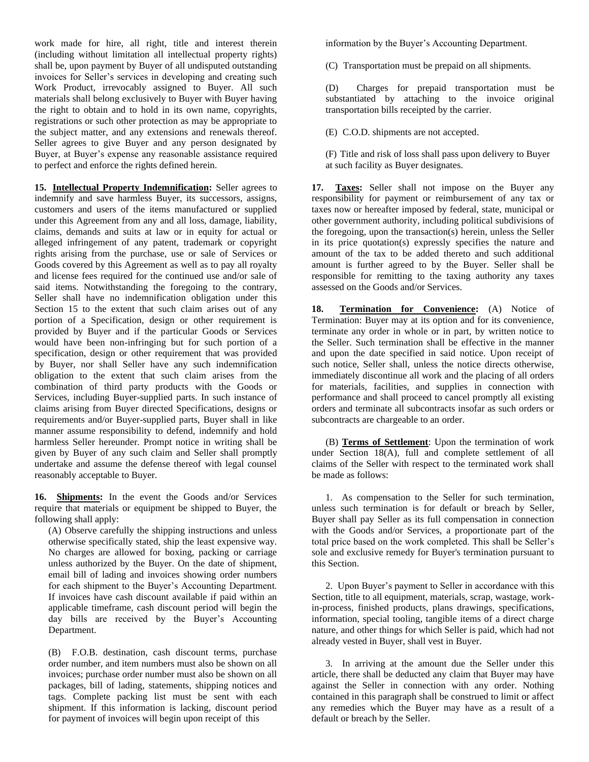work made for hire, all right, title and interest therein (including without limitation all intellectual property rights) shall be, upon payment by Buyer of all undisputed outstanding invoices for Seller's services in developing and creating such Work Product, irrevocably assigned to Buyer. All such materials shall belong exclusively to Buyer with Buyer having the right to obtain and to hold in its own name, copyrights, registrations or such other protection as may be appropriate to the subject matter, and any extensions and renewals thereof. Seller agrees to give Buyer and any person designated by Buyer, at Buyer's expense any reasonable assistance required to perfect and enforce the rights defined herein.

**15. Intellectual Property Indemnification:** Seller agrees to indemnify and save harmless Buyer, its successors, assigns, customers and users of the items manufactured or supplied under this Agreement from any and all loss, damage, liability, claims, demands and suits at law or in equity for actual or alleged infringement of any patent, trademark or copyright rights arising from the purchase, use or sale of Services or Goods covered by this Agreement as well as to pay all royalty and license fees required for the continued use and/or sale of said items. Notwithstanding the foregoing to the contrary, Seller shall have no indemnification obligation under this Section 15 to the extent that such claim arises out of any portion of a Specification, design or other requirement is provided by Buyer and if the particular Goods or Services would have been non-infringing but for such portion of a specification, design or other requirement that was provided by Buyer, nor shall Seller have any such indemnification obligation to the extent that such claim arises from the combination of third party products with the Goods or Services, including Buyer-supplied parts. In such instance of claims arising from Buyer directed Specifications, designs or requirements and/or Buyer-supplied parts, Buyer shall in like manner assume responsibility to defend, indemnify and hold harmless Seller hereunder. Prompt notice in writing shall be given by Buyer of any such claim and Seller shall promptly undertake and assume the defense thereof with legal counsel reasonably acceptable to Buyer.

**16. Shipments:** In the event the Goods and/or Services require that materials or equipment be shipped to Buyer, the following shall apply:

(A) Observe carefully the shipping instructions and unless otherwise specifically stated, ship the least expensive way. No charges are allowed for boxing, packing or carriage unless authorized by the Buyer. On the date of shipment, email bill of lading and invoices showing order numbers for each shipment to the Buyer's Accounting Department. If invoices have cash discount available if paid within an applicable timeframe, cash discount period will begin the day bills are received by the Buyer's Accounting Department.

(B) F.O.B. destination, cash discount terms, purchase order number, and item numbers must also be shown on all invoices; purchase order number must also be shown on all packages, bill of lading, statements, shipping notices and tags. Complete packing list must be sent with each shipment. If this information is lacking, discount period for payment of invoices will begin upon receipt of this

information by the Buyer's Accounting Department.

(C) Transportation must be prepaid on all shipments.

(D) Charges for prepaid transportation must be substantiated by attaching to the invoice original transportation bills receipted by the carrier.

(E) C.O.D. shipments are not accepted.

(F) Title and risk of loss shall pass upon delivery to Buyer at such facility as Buyer designates.

**17. Taxes:** Seller shall not impose on the Buyer any responsibility for payment or reimbursement of any tax or taxes now or hereafter imposed by federal, state, municipal or other government authority, including political subdivisions of the foregoing, upon the transaction(s) herein, unless the Seller in its price quotation(s) expressly specifies the nature and amount of the tax to be added thereto and such additional amount is further agreed to by the Buyer. Seller shall be responsible for remitting to the taxing authority any taxes assessed on the Goods and/or Services.

**18. Termination for Convenience:** (A) Notice of Termination: Buyer may at its option and for its convenience, terminate any order in whole or in part, by written notice to the Seller. Such termination shall be effective in the manner and upon the date specified in said notice. Upon receipt of such notice, Seller shall, unless the notice directs otherwise, immediately discontinue all work and the placing of all orders for materials, facilities, and supplies in connection with performance and shall proceed to cancel promptly all existing orders and terminate all subcontracts insofar as such orders or subcontracts are chargeable to an order.

(B) **Terms of Settlement**: Upon the termination of work under Section 18(A), full and complete settlement of all claims of the Seller with respect to the terminated work shall be made as follows:

1. As compensation to the Seller for such termination, unless such termination is for default or breach by Seller, Buyer shall pay Seller as its full compensation in connection with the Goods and/or Services, a proportionate part of the total price based on the work completed. This shall be Seller's sole and exclusive remedy for Buyer's termination pursuant to this Section.

2. Upon Buyer's payment to Seller in accordance with this Section, title to all equipment, materials, scrap, wastage, workin-process, finished products, plans drawings, specifications, information, special tooling, tangible items of a direct charge nature, and other things for which Seller is paid, which had not already vested in Buyer, shall vest in Buyer.

3. In arriving at the amount due the Seller under this article, there shall be deducted any claim that Buyer may have against the Seller in connection with any order. Nothing contained in this paragraph shall be construed to limit or affect any remedies which the Buyer may have as a result of a default or breach by the Seller.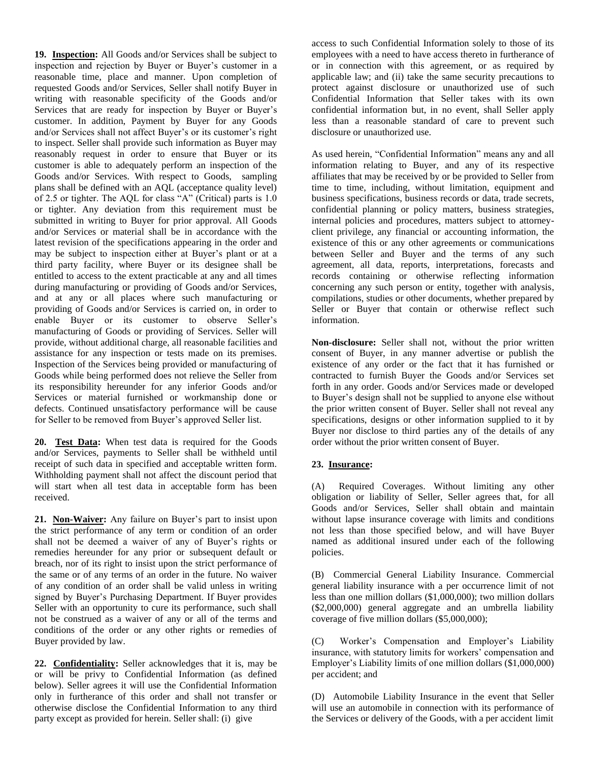**19. Inspection:** All Goods and/or Services shall be subject to inspection and rejection by Buyer or Buyer's customer in a reasonable time, place and manner. Upon completion of requested Goods and/or Services, Seller shall notify Buyer in writing with reasonable specificity of the Goods and/or Services that are ready for inspection by Buyer or Buyer's customer. In addition, Payment by Buyer for any Goods and/or Services shall not affect Buyer's or its customer's right to inspect. Seller shall provide such information as Buyer may reasonably request in order to ensure that Buyer or its customer is able to adequately perform an inspection of the Goods and/or Services. With respect to Goods, sampling plans shall be defined with an AQL (acceptance quality level) of 2.5 or tighter. The AQL for class "A" (Critical) parts is 1.0 or tighter. Any deviation from this requirement must be submitted in writing to Buyer for prior approval. All Goods and/or Services or material shall be in accordance with the latest revision of the specifications appearing in the order and may be subject to inspection either at Buyer's plant or at a third party facility, where Buyer or its designee shall be entitled to access to the extent practicable at any and all times during manufacturing or providing of Goods and/or Services, and at any or all places where such manufacturing or providing of Goods and/or Services is carried on, in order to enable Buyer or its customer to observe Seller's manufacturing of Goods or providing of Services. Seller will provide, without additional charge, all reasonable facilities and assistance for any inspection or tests made on its premises. Inspection of the Services being provided or manufacturing of Goods while being performed does not relieve the Seller from its responsibility hereunder for any inferior Goods and/or Services or material furnished or workmanship done or defects. Continued unsatisfactory performance will be cause for Seller to be removed from Buyer's approved Seller list.

**20. Test Data:** When test data is required for the Goods and/or Services, payments to Seller shall be withheld until receipt of such data in specified and acceptable written form. Withholding payment shall not affect the discount period that will start when all test data in acceptable form has been received.

**21. Non-Waiver:** Any failure on Buyer's part to insist upon the strict performance of any term or condition of an order shall not be deemed a waiver of any of Buyer's rights or remedies hereunder for any prior or subsequent default or breach, nor of its right to insist upon the strict performance of the same or of any terms of an order in the future. No waiver of any condition of an order shall be valid unless in writing signed by Buyer's Purchasing Department. If Buyer provides Seller with an opportunity to cure its performance, such shall not be construed as a waiver of any or all of the terms and conditions of the order or any other rights or remedies of Buyer provided by law.

**22. Confidentiality:** Seller acknowledges that it is, may be or will be privy to Confidential Information (as defined below). Seller agrees it will use the Confidential Information only in furtherance of this order and shall not transfer or otherwise disclose the Confidential Information to any third party except as provided for herein. Seller shall: (i) give

access to such Confidential Information solely to those of its employees with a need to have access thereto in furtherance of or in connection with this agreement, or as required by applicable law; and (ii) take the same security precautions to protect against disclosure or unauthorized use of such Confidential Information that Seller takes with its own confidential information but, in no event, shall Seller apply less than a reasonable standard of care to prevent such disclosure or unauthorized use.

As used herein, "Confidential Information" means any and all information relating to Buyer, and any of its respective affiliates that may be received by or be provided to Seller from time to time, including, without limitation, equipment and business specifications, business records or data, trade secrets, confidential planning or policy matters, business strategies, internal policies and procedures, matters subject to attorneyclient privilege, any financial or accounting information, the existence of this or any other agreements or communications between Seller and Buyer and the terms of any such agreement, all data, reports, interpretations, forecasts and records containing or otherwise reflecting information concerning any such person or entity, together with analysis, compilations, studies or other documents, whether prepared by Seller or Buyer that contain or otherwise reflect such information.

**Non-disclosure:** Seller shall not, without the prior written consent of Buyer, in any manner advertise or publish the existence of any order or the fact that it has furnished or contracted to furnish Buyer the Goods and/or Services set forth in any order. Goods and/or Services made or developed to Buyer's design shall not be supplied to anyone else without the prior written consent of Buyer. Seller shall not reveal any specifications, designs or other information supplied to it by Buyer nor disclose to third parties any of the details of any order without the prior written consent of Buyer.

## **23. Insurance:**

(A) Required Coverages. Without limiting any other obligation or liability of Seller, Seller agrees that, for all Goods and/or Services, Seller shall obtain and maintain without lapse insurance coverage with limits and conditions not less than those specified below, and will have Buyer named as additional insured under each of the following policies.

(B) Commercial General Liability Insurance. Commercial general liability insurance with a per occurrence limit of not less than one million dollars (\$1,000,000); two million dollars (\$2,000,000) general aggregate and an umbrella liability coverage of five million dollars (\$5,000,000);

(C) Worker's Compensation and Employer's Liability insurance, with statutory limits for workers' compensation and Employer's Liability limits of one million dollars (\$1,000,000) per accident; and

(D) Automobile Liability Insurance in the event that Seller will use an automobile in connection with its performance of the Services or delivery of the Goods, with a per accident limit